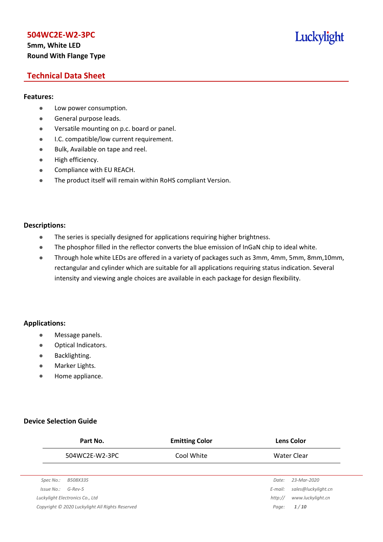# **5mm, White LED Round With Flange Type**

# Luckylight

# **Technical Data Sheet**

#### **Features:**

- **•** Low power consumption.
- **General purpose leads.**
- Versatile mounting on p.c. board or panel.
- **I.C. compatible/low current requirement.**
- Bulk, Available on tape and reel.
- $\bullet$  High efficiency.
- **•** Compliance with EU REACH.
- The product itself will remain within RoHS compliant Version.

#### **Descriptions:**

- The series is specially designed for applications requiring higher brightness.
- The phosphor filled in the reflector converts the blue emission of InGaN chip to ideal white.
- Through hole white LEDs are offered in a variety of packages such as 3mm, 4mm, 5mm, 8mm,10mm, rectangular and cylinder which are suitable for all applications requiring status indication. Several intensity and viewing angle choices are available in each package for design flexibility.

#### **Applications:**

- **•** Message panels.
- Optical Indicators.
- Backlighting.
- Marker Lights.
- Home appliance.

#### **Device Selection Guide**

|            | Part No.                                        | <b>Emitting Color</b> | <b>Lens Color</b> |                     |  |
|------------|-------------------------------------------------|-----------------------|-------------------|---------------------|--|
|            | 504WC2E-W2-3PC                                  | Cool White            |                   | Water Clear         |  |
|            |                                                 |                       |                   |                     |  |
| Spec No.:  | B508X335                                        |                       | Date:             | 23-Mar-2020         |  |
| Issue No.: | $G$ -Rev-5                                      |                       | E-mail:           | sales@luckylight.cn |  |
|            | Luckylight Electronics Co., Ltd                 |                       | http://           | www.luckylight.cn   |  |
|            | Copyright © 2020 Luckylight All Rights Reserved |                       | Page:             | 1/10                |  |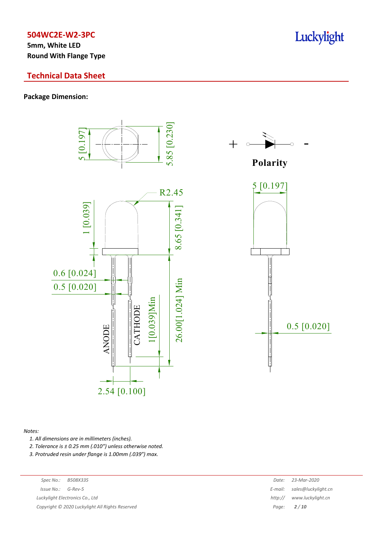**5mm, White LED Round With Flange Type**

## **Technical Data Sheet**

#### **Package Dimension:**





**Polarity**



#### *Notes:*

- *1. All dimensions are in millimeters (inches).*
- *2. Tolerance is ± 0.25 mm (.010″) unless otherwise noted.*
- *3. Protruded resin under flange is 1.00mm (.039″) max.*

| Spec No.: | B508X33 |
|-----------|---------|
|-----------|---------|

 $Luckylight~Electronics~Co.,~Ltd$ 

*Copyright © 2020 Luckylight All Rights Reserved Page: 2 / 10*

| Spec No.:<br>B508X335                         | Date:   | 23-Mar-2020                 |
|-----------------------------------------------|---------|-----------------------------|
| 'ssue No.:<br>G-Rev-5                         |         | E-mail: sales@luckylight.cn |
| ckylight Electronics Co., Ltd                 | http:// | www.luckylight.cn           |
| pyright © 2020 Luckylight All Rights Reserved | Paae:   | 2/10                        |

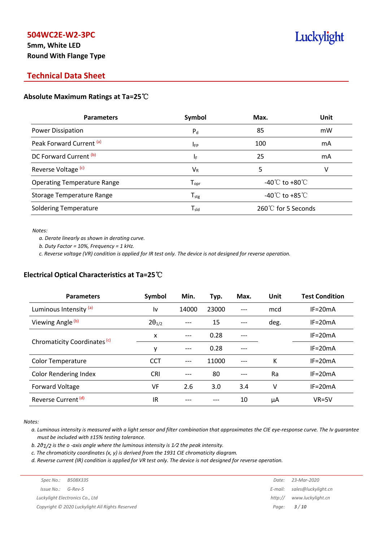# **5mm, White LED Round With Flange Type**

# Luckylight

# **Technical Data Sheet**

#### **Absolute Maximum Ratings at Ta=25**℃

| <b>Parameters</b>                  | Symbol                       | Max.                                 | Unit |
|------------------------------------|------------------------------|--------------------------------------|------|
| Power Dissipation                  | $P_{d}$                      | 85                                   | mW   |
| Peak Forward Current (a)           | <b>IFP</b>                   | 100                                  | mA   |
| DC Forward Current (b)             | ΙF                           | 25                                   | mA   |
| Reverse Voltage <sup>(c)</sup>     | $V_{R}$                      | 5                                    | v    |
| <b>Operating Temperature Range</b> | ${\mathsf T}_{\textsf{opr}}$ | -40 $^{\circ}$ C to +80 $^{\circ}$ C |      |
| Storage Temperature Range          | ${\sf T}_{\sf stg}$          | -40 $^{\circ}$ C to +85 $^{\circ}$ C |      |
| <b>Soldering Temperature</b>       | ${\mathsf T}_{\textsf{sld}}$ | 260℃ for 5 Seconds                   |      |

*Notes:*

*a. Derate linearly as shown in derating curve.*

*b. Duty Factor = 10%, Frequency = 1 kHz.*

c. Reverse voltage (VR) condition is applied for IR test only. The device is not designed for reverse operation.

#### **Electrical Optical Characteristics at Ta=25**℃

| <b>Parameters</b>                       | Symbol          | Min.  | Typ.  | Max.  | Unit | <b>Test Condition</b> |
|-----------------------------------------|-----------------|-------|-------|-------|------|-----------------------|
| Luminous Intensity (a)                  | l٧              | 14000 | 23000 | $---$ | mcd  | $IF = 20mA$           |
| Viewing Angle <sup>(b)</sup>            | $2\theta_{1/2}$ |       | 15    |       | deg. | $IF = 20mA$           |
|                                         | x               | $---$ | 0.28  |       |      | $IF = 20mA$           |
| Chromaticity Coordinates <sup>(c)</sup> | y               | $---$ | 0.28  |       |      | $IF=20mA$             |
| <b>Color Temperature</b>                | <b>CCT</b>      | ---   | 11000 |       | К    | $IF = 20mA$           |
| <b>Color Rendering Index</b>            | <b>CRI</b>      |       | 80    |       | Ra   | $IF = 20mA$           |
| Forward Voltage                         | VF              | 2.6   | 3.0   | 3.4   | ٧    | $IF = 20mA$           |
| Reverse Current <sup>(d)</sup>          | IR              |       |       | 10    | μA   | $VR=5V$               |

*Notes:*

a. Luminous intensity is measured with a light sensor and filter combination that approximates the CIE eye-response curve. The Iv guarantee *must be included with ±15% testing tolerance.*

*b. 2θ1/2 is the o -axis angle where the luminous intensity is 1⁄2 the peak intensity.*

*c. The chromaticity coordinates (x, y) is derived from the 1931 CIE chromaticity diagram.*

d. Reverse current (IR) condition is applied for VR test only. The device is not designed for reverse operation.

| Spec No.:              | B508X335                                        | Date:   | 23-Mar-2020                 |
|------------------------|-------------------------------------------------|---------|-----------------------------|
| $Is sue No.:  G-Rev-5$ |                                                 |         | E-mail: sales@luckylight.cn |
|                        | Luckylight Electronics Co., Ltd                 | http:// | www.luckylight.cn           |
|                        | Copyright © 2020 Luckylight All Rights Reserved |         | Page: <b>3/10</b>           |
|                        |                                                 |         |                             |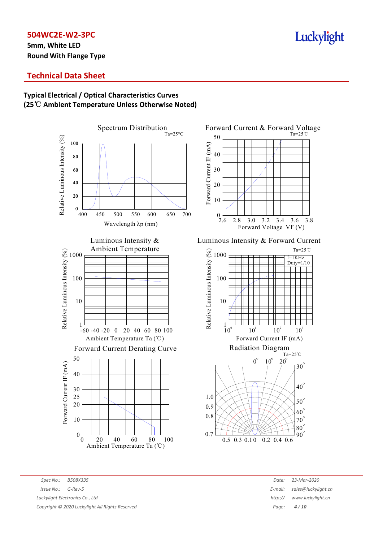**5mm, White LED Round With Flange Type**

# Luckylight

# **Technical Data Sheet**



# **Typical Electrical / Optical Characteristics Curves (25**℃ **Ambient Temperature Unless Otherwise Noted)**

*Spec No.: B508X335 Date: 23-Mar-2020 Issue No.: G-Rev-5 E-mail: sales@luckylight.cn Luckylight Electronics Co., Ltd http:// www.luckylight.cn Copyright © 2020 Luckylight All Rights Reserved Page: 4 / 10*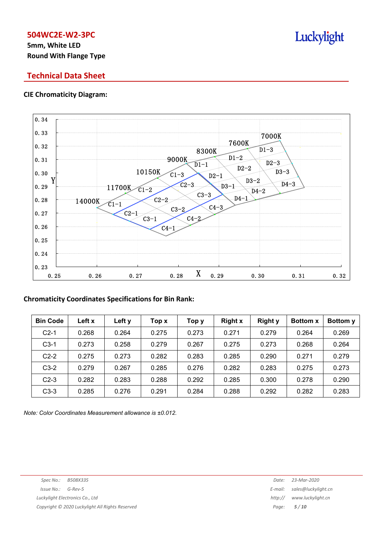# **5mm, White LED Round With Flange Type**

# **Technical Data Sheet**

#### **CIE Chromaticity Diagram:**



#### **Chromaticity Coordinates Specifications for Bin Rank:**

| <b>Bin Code</b> | Left x | Left y | Top x | Тор у | <b>Right x</b> | <b>Right y</b> | <b>Bottom x</b> | Bottom y |
|-----------------|--------|--------|-------|-------|----------------|----------------|-----------------|----------|
| $C2-1$          | 0.268  | 0.264  | 0.275 | 0.273 | 0.271          | 0.279          | 0.264           | 0.269    |
| $C3-1$          | 0.273  | 0.258  | 0.279 | 0.267 | 0.275          | 0.273          | 0.268           | 0.264    |
| $C2-2$          | 0.275  | 0.273  | 0.282 | 0.283 | 0.285          | 0.290          | 0.271           | 0.279    |
| $C3-2$          | 0.279  | 0.267  | 0.285 | 0.276 | 0.282          | 0.283          | 0.275           | 0.273    |
| $C2-3$          | 0.282  | 0.283  | 0.288 | 0.292 | 0.285          | 0.300          | 0.278           | 0.290    |
| $C3-3$          | 0.285  | 0.276  | 0.291 | 0.284 | 0.288          | 0.292          | 0.282           | 0.283    |

*Note: Color Coordinates Measurement allowance is ±0.012.*

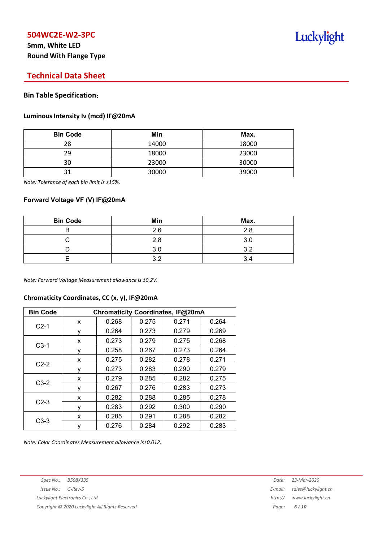# **5mm, White LED Round With Flange Type**

# **Technical Data Sheet**

#### **Bin Table Specification**:

#### **Luminous Intensity Iv (mcd) IF@20mA**

| <b>Bin Code</b> | Min   | Max.  |
|-----------------|-------|-------|
| 28              | 14000 | 18000 |
| 29              | 18000 | 23000 |
| 30              | 23000 | 30000 |
| 21              | 30000 | 39000 |

*Note: Tolerance of each bin limit is ±15%.*

#### **Forward Voltage VF (V) IF@20mA**

| <b>Bin Code</b> | Min | Max. |
|-----------------|-----|------|
|                 | 2.6 | 2.8  |
|                 | 2.8 | 3.C  |
|                 | 3.0 | າ ລ  |
|                 | າາ  | 3.4  |

*Note: Forward Voltage Measurement allowance is ±0.2V.*

#### **Chromaticity Coordinates, CC (x, y), IF@20mA**

| <b>Bin Code</b> | Chromaticity Coordinates, IF@20mA |       |       |       |       |  |  |
|-----------------|-----------------------------------|-------|-------|-------|-------|--|--|
|                 | x                                 | 0.268 | 0.275 | 0.271 | 0.264 |  |  |
| $C2-1$          | ٧                                 | 0.264 | 0.273 | 0.279 | 0.269 |  |  |
|                 | x                                 | 0.273 | 0.279 | 0.275 | 0.268 |  |  |
| $C3-1$          | ۷                                 | 0.258 | 0.267 | 0.273 | 0.264 |  |  |
|                 | x                                 | 0.275 | 0.282 | 0.278 | 0.271 |  |  |
| $C2-2$          | ٧                                 | 0.273 | 0.283 | 0.290 | 0.279 |  |  |
|                 | X                                 | 0.279 | 0.285 | 0.282 | 0.275 |  |  |
| $C3-2$          | ۷                                 | 0.267 | 0.276 | 0.283 | 0.273 |  |  |
| $C2-3$          | x                                 | 0.282 | 0.288 | 0.285 | 0.278 |  |  |
|                 | ٧                                 | 0.283 | 0.292 | 0.300 | 0.290 |  |  |
| $C3-3$          | x                                 | 0.285 | 0.291 | 0.288 | 0.282 |  |  |
|                 | у                                 | 0.276 | 0.284 | 0.292 | 0.283 |  |  |

*Note: Color Coordinates Measurement allowance is±0.012.*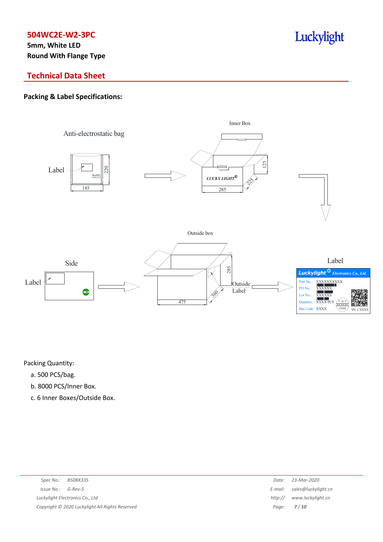**5mm, White LED Round With Flange Type**

# Luckylight

# **Technical Data Sheet**

# **Packing & Label Specifications:**



Packing Quantity:

- a. 500 PCS/bag.
- b. 8000 PCS/Inner Box.
- c. 6 Inner Boxes/Outside Box.

| B508X335<br>Spec No.:                           | Date:   | 23-Mar-2020                 |
|-------------------------------------------------|---------|-----------------------------|
| $Issue No.: G-Rev-5$                            |         | E-mail: sales@luckylight.cn |
| Luckylight Electronics Co., Ltd                 | http:// | www.luckylight.cn           |
| Copyright © 2020 Luckylight All Rights Reserved |         | Page: <b>7/10</b>           |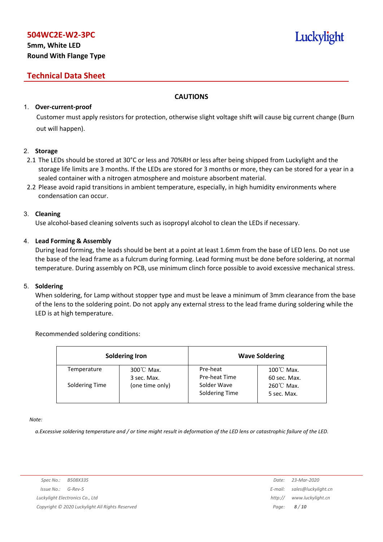# **5mm, White LED Round With Flange Type**

# **Technical Data Sheet**

#### **CAUTIONS**

#### 1. **Over-current-proof**

Customer must apply resistors for protection, otherwise slight voltage shift will cause big current change (Burn out will happen).

#### 2. **Storage**

- 2.1 The LEDs should be stored at 30°C or less and 70%RH or less after being shipped from Luckylight and the storage life limits are 3 months. If the LEDs are stored for 3 months or more, they can be stored for a year in a sealed container with a nitrogen atmosphere and moisture absorbent material.
- 2.2 Please avoid rapid transitions in ambient temperature, especially, in high humidity environments where condensation can occur.

#### 3. **Cleaning**

Use alcohol-based cleaning solvents such as isopropyl alcohol to clean the LEDs if necessary.

#### 4. **Lead Forming & Assembly**

During lead forming, the leads should be bent at a point at least 1.6mm from the base of LED lens. Do not use the base of the lead frame as a fulcrum during forming. Lead forming must be done before soldering, at normal temperature. During assembly on PCB, use minimum clinch force possible to avoid excessive mechanical stress.

#### 5. **Soldering**

When soldering, for Lamp without stopper type and must be leave a minimum of 3mm clearance from the base of the lens to the soldering point. Do not apply any external stress to the lead frame during soldering while the LED is at high temperature.

#### Recommended soldering conditions:

|                | <b>Soldering Iron</b>               |                               | <b>Wave Soldering</b>                |
|----------------|-------------------------------------|-------------------------------|--------------------------------------|
| Temperature    | $300^{\circ}$ C Max.<br>3 sec. Max. | Pre-heat<br>Pre-heat Time     | $100^{\circ}$ C Max.<br>60 sec. Max. |
| Soldering Time | (one time only)                     | Solder Wave<br>Soldering Time | $260^{\circ}$ C Max.<br>5 sec. Max.  |

*Note:*

a. Excessive soldering temperature and / or time might result in deformation of the LED lens or catastrophic failure of the LED.

Luckylight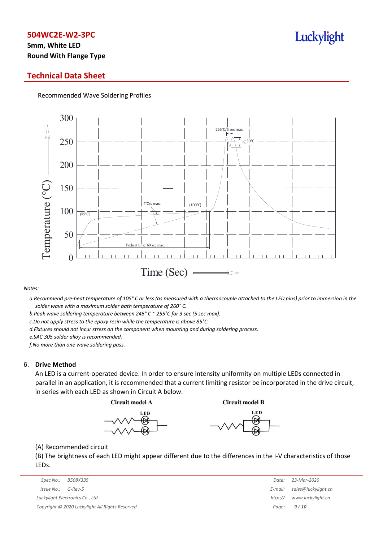# **5mm, White LED Round With Flange Type**

### **Technical Data Sheet**

Recommended Wave Soldering Profiles



*Notes:*

a. Recommend pre-heat temperature of 105° C or less (as measured with a thermocouple attached to the LED pins) prior to immersion in the *solder wave with a maximum solder bath temperature of 260° C.*

*b.Peak wave soldering temperature between 245° C ~ 255°C for 3 sec (5 sec max).*

*c.Do not apply stress to the epoxy resin while the temperature is above 85°C.*

*d.Fixtures should not incur stress on the component when mounting and during soldering process.*

*e.SAC 305 solder alloy is recommended.*

*f.No more than one wave soldering pass.*

#### 6. **Drive Method**

An LED is a current-operated device. In order to ensure intensity uniformity on multiple LEDs connected in parallel in an application, it is recommended that a current limiting resistor be incorporated in the drive circuit, in series with each LED as shown in Circuit A below.

**Circuit model A** 

**Circuit model B** 





(A) Recommended circuit

(B) The brightness of each LED might appear different due to the differences in the I-V characteristics of those LEDs.

| Spec No.:                                       | B508X335 | Date:   | 23-Mar-2020         |
|-------------------------------------------------|----------|---------|---------------------|
| Issue No.:                                      | G-Rev-5  | E-mail: | sales@luckylight.cn |
| Luckylight Electronics Co., Ltd                 |          | http:// | www.luckylight.cn   |
| Copyright © 2020 Luckylight All Rights Reserved |          |         | Page: $9/10$        |

| Date:   | 23-Mar-2020         |
|---------|---------------------|
| E-mail: | sales@luckylight.cn |
| http:// | www.luckylight.cn   |
| Page:   | 9/10                |